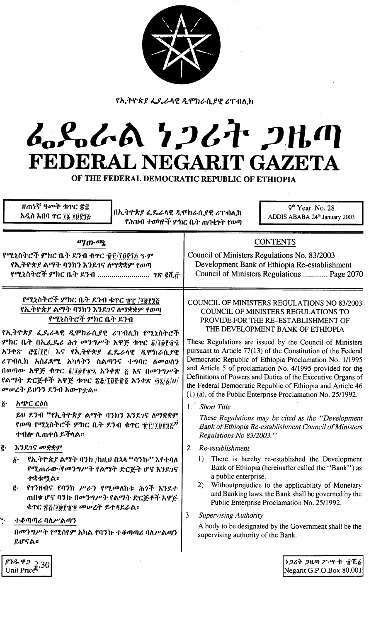

የኢትዮጵያ ፌዴራላዊ ዲሞክራሲያዊ ሪፐብሊክ

# んとんへ ケンムナ フルの FEDERAL NEGARIT GAZETA

OF THE FEDERAL DEMOCRATIC REPUBLIC OF ETHIOPIA

| ዘጠነኛ ዓመት ቁጥር ጽ፰<br>በኢትዮጵያ ፌዴራላዊ ዲሞክራሲያዊ ሪፐብሊክ<br>አዲስ አበባ ተር ፲፮ ፲፱፻፺፭                                                                                                                                                                                                                                                                                                                                 | $9th$ Year No. 28<br>ADDIS ABABA 24 <sup>th</sup> January 2003<br>የሕዝብ ተወካዮች ምክር ቤት ጠባቂነት የወጣ                                                                                                                                                                                                                                                                                                                                                                                                                                                                                                                    |
|------------------------------------------------------------------------------------------------------------------------------------------------------------------------------------------------------------------------------------------------------------------------------------------------------------------------------------------------------------------------------------------------------|------------------------------------------------------------------------------------------------------------------------------------------------------------------------------------------------------------------------------------------------------------------------------------------------------------------------------------------------------------------------------------------------------------------------------------------------------------------------------------------------------------------------------------------------------------------------------------------------------------------|
| ማውጫ<br>የሚኒስትሮች ምክር ቤት ደንብ ቁጥር ፹፫/፲፱፻፺፩ ዓ·ም<br>የኢትዮጵያ ልማት ባንክን እንደገና ለማቋቋም የወጣ<br>የሚኒስትሮች ምክር ቤት ደንብ <i>ገጽ</i> ፪ሺ <i>፸</i>                                                                                                                                                                                                                                                                            | <b>CONTENTS</b><br>Council of Ministers Regulations No. 83/2003<br>Development Bank of Ethiopia Re-establishment<br>Council of Ministers Regulations  Page 2070                                                                                                                                                                                                                                                                                                                                                                                                                                                  |
| የሚኒስትሮች ምክር ቤት ደንብ ቁዋር ፹፫ /፲፱፻፺፩<br>የኢትዮጵያ ልማት ባንክን እንደገና ለማቋቋም የወጣ<br>የሚኒስትሮች ምክር ቤት ደንብ<br>የኢትዮጵያ ፌዴራላዊ ዲሞክራሲያዊ ሪፐብሊክ የሚኒስትሮች<br>ምክር ቤት በኢፌዴሪ ሕገ መንግሥት አዋጅ ቁጥር <u>δ/፲፱</u> ፻፹፯<br>አንቀጽ ፸፯/፲፫/ እና የኢትዮጵያ ፌዴራላዊ ዲሞክራሲያዊ<br>ሪፐብሊክ አስፌጻሚ አካላትን ስልጣንና ተግባር ለመወሰን<br>በወጣው አዋጅ ቁጥር ፬/፲፱፻፹፯ አንቀጽ ፭ እና በመንግሥት<br>የልማት ድርጅቶች አዋጅ ቁጥር ፳፩/፲፱፻፹፬ አንቀጽ ፵፮/፩/ሀ/<br>መሠረት ይህንን ደንብ አውዋቷል።<br>$\vec{b}$ .<br>አጭር ርዕስ | COUNCIL OF MINISTERS REGULATIONS NO 83/2003<br>COUNCIL OF MINISTERS REGULATIONS TO<br>PROVIDE FOR THE RE-ESTABLISHMENT OF<br>THE DEVELOPMENT BANK OF ETHIOPIA<br>These Regulations are issued by the Council of Ministers<br>pursuant to Article $77(13)$ of the Constitution of the Federal<br>Democratic Republic of Ethiopia Proclamation No. 1/1995<br>and Article 5 of proclamation No. 4/1995 provided for the<br>Definitions of Powers and Duties of the Executive Organs of<br>the Federal Democratic Republic of Ethiopia and Article 46<br>(1) (a), of the Public Enterprise Proclamation No. 25/1992. |
| ይህ ደንብ "የኢትዮጵያ ልማት ባንክን እንደገና ለማቋቋም<br>የወጣ የሚኒስትሮች ምክር ቤት ደንብ ቁጥር ፹፫/፲፱፻፺፩"<br>ተብሎ ሊጠቀስ ይችላል፡፡                                                                                                                                                                                                                                                                                                       | 1. Short Title<br>These Regulations may be cited as the "Development"<br>Bank of Ethiopia Re-establishment Council of Ministers<br>Regulations No 83/2003."                                                                                                                                                                                                                                                                                                                                                                                                                                                      |
| እንደ <i>ገና መ</i> ቋቋም<br>g.<br>የኢ <i>ት</i> ዮጵ <i>ያ ልማት ባንክ</i> /ከዚህ በኋላ "ባንኩ'' እየተባለ<br>δ.<br>የሚጠራው/የመንግሥት የልማት ድርጅት ሆኖ እንደገና<br>ተቋቁሟል።<br>የገንዘብና የባንክ ሥራን የሚመለከቱ ሕጎች እንደተ<br>ĝ.<br>ጠበቁ ሆኖ ባንኩ በመንግሥት የልማት ድርጅቶች አዋጅ<br>ቁጥር ፳፭/፲፱፻፹፬ መሥረት ይተዳደራል።<br>٩.<br>ተቆጣጣሪ ባለሥልጣን<br>በመንግሥት የሚሰየም አካል የባንኩ ተቆጣጣሪ ባለሥልጣን<br>ይሆናል።                                                                                 | Re-establishment<br>2.<br>1) There is hereby re-established the Development<br>Bank of Ethiopia (hereinafter called the "Bank") as<br>a public enterprise.<br>Withoutprejudice to the applicability of Monetary<br>2)<br>and Banking laws, the Bank shall be governed by the<br>Public Enterprise Proclamation No. 25/1992.<br>3.<br><b>Supervising Authority</b><br>A body to be designated by the Government shall be the<br>supervising authority of the Bank.                                                                                                                                                |
| ያንዱ ዋጋ<br>Unit Price <sup>s</sup>                                                                                                                                                                                                                                                                                                                                                                    | <i>ነጋሪት ጋዜጣ ፖ</i> …ሣ·ቁ· ፹ሺ፩<br>Negarit G.P.O.Box 80,001                                                                                                                                                                                                                                                                                                                                                                                                                                                                                                                                                          |